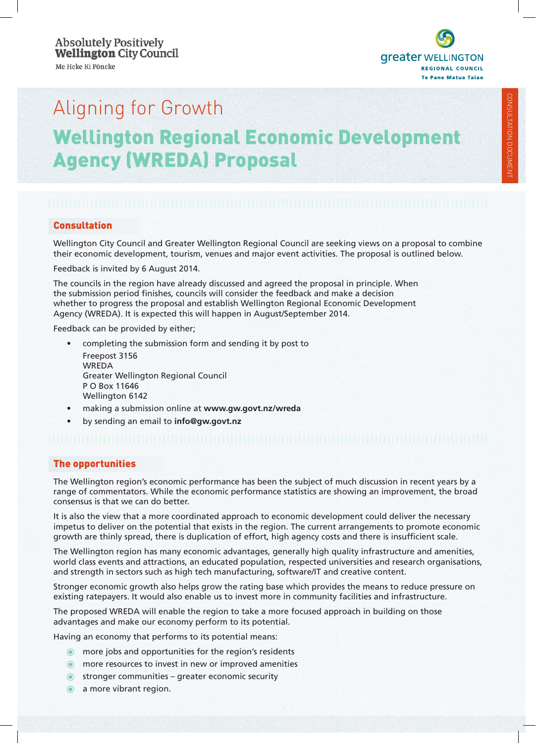**greater WELLINGTON REGIONAL COUNCIL Te Pane Matua Taiao** 

# Aligning for Growth Wellington Regional Economic Development Agency (WREDA) Proposal

# **Consultation**

Wellington City Council and Greater Wellington Regional Council are seeking views on a proposal to combine their economic development, tourism, venues and major event activities. The proposal is outlined below.

Feedback is invited by 6 August 2014.

The councils in the region have already discussed and agreed the proposal in principle. When the submission period finishes, councils will consider the feedback and make a decision whether to progress the proposal and establish Wellington Regional Economic Development Agency (WREDA). It is expected this will happen in August/September 2014.

Feedback can be provided by either;

- • completing the submission form and sending it by post to Freepost 3156 WREDA Greater Wellington Regional Council P O Box 11646 Wellington 6142
- making a submission online at www.gw.govt.nz/wreda
- by sending an email to **info@gw.govt.nz**

# The opportunities

The Wellington region's economic performance has been the subject of much discussion in recent years by a range of commentators. While the economic performance statistics are showing an improvement, the broad consensus is that we can do better.

It is also the view that a more coordinated approach to economic development could deliver the necessary impetus to deliver on the potential that exists in the region. The current arrangements to promote economic growth are thinly spread, there is duplication of effort, high agency costs and there is insufficient scale.

The Wellington region has many economic advantages, generally high quality infrastructure and amenities, world class events and attractions, an educated population, respected universities and research organisations, and strength in sectors such as high tech manufacturing, software/IT and creative content.

Stronger economic growth also helps grow the rating base which provides the means to reduce pressure on existing ratepayers. It would also enable us to invest more in community facilities and infrastructure.

The proposed WREDA will enable the region to take a more focused approach in building on those advantages and make our economy perform to its potential.

Having an economy that performs to its potential means:

- o more jobs and opportunities for the region's residents
- **O** more resources to invest in new or improved amenities
- $\bullet$  stronger communities greater economic security
- a more vibrant region.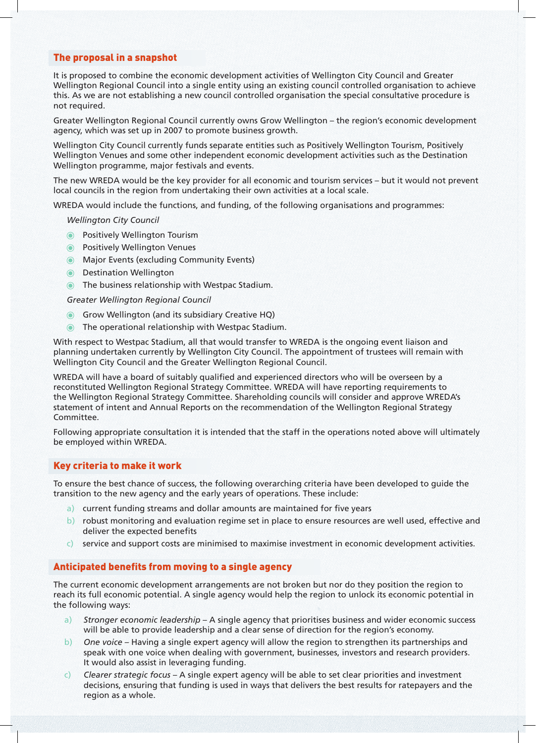# The proposal in a snapshot

It is proposed to combine the economic development activities of Wellington City Council and Greater Wellington Regional Council into a single entity using an existing council controlled organisation to achieve this. As we are not establishing a new council controlled organisation the special consultative procedure is not required.

Greater Wellington Regional Council currently owns Grow Wellington – the region's economic development agency, which was set up in 2007 to promote business growth.

Wellington City Council currently funds separate entities such as Positively Wellington Tourism, Positively Wellington Venues and some other independent economic development activities such as the Destination Wellington programme, major festivals and events.

The new WREDA would be the key provider for all economic and tourism services – but it would not prevent local councils in the region from undertaking their own activities at a local scale.

WREDA would include the functions, and funding, of the following organisations and programmes:

*Wellington City Council*

- **O** Positively Wellington Tourism
- **O** Positively Wellington Venues
- **Major Events (excluding Community Events)**
- **O** Destination Wellington
- **IDED** The business relationship with Westpac Stadium.

*Greater Wellington Regional Council*

- Grow Wellington (and its subsidiary Creative HQ)
- **O** The operational relationship with Westpac Stadium.

With respect to Westpac Stadium, all that would transfer to WREDA is the ongoing event liaison and planning undertaken currently by Wellington City Council. The appointment of trustees will remain with Wellington City Council and the Greater Wellington Regional Council.

WREDA will have a board of suitably qualified and experienced directors who will be overseen by a reconstituted Wellington Regional Strategy Committee. WREDA will have reporting requirements to the Wellington Regional Strategy Committee. Shareholding councils will consider and approve WREDA's statement of intent and Annual Reports on the recommendation of the Wellington Regional Strategy Committee.

Following appropriate consultation it is intended that the staff in the operations noted above will ultimately be employed within WREDA.

# Key criteria to make it work

To ensure the best chance of success, the following overarching criteria have been developed to guide the transition to the new agency and the early years of operations. These include:

- a) current funding streams and dollar amounts are maintained for five years
- b) robust monitoring and evaluation regime set in place to ensure resources are well used, effective and deliver the expected benefits
- c) service and support costs are minimised to maximise investment in economic development activities.

### Anticipated benefits from moving to a single agency

The current economic development arrangements are not broken but nor do they position the region to reach its full economic potential. A single agency would help the region to unlock its economic potential in the following ways:

- a) *Stronger economic leadership* A single agency that prioritises business and wider economic success will be able to provide leadership and a clear sense of direction for the region's economy.
- b) *One voice* Having a single expert agency will allow the region to strengthen its partnerships and speak with one voice when dealing with government, businesses, investors and research providers. It would also assist in leveraging funding.
- c) *Clearer strategic focus*  A single expert agency will be able to set clear priorities and investment decisions, ensuring that funding is used in ways that delivers the best results for ratepayers and the region as a whole.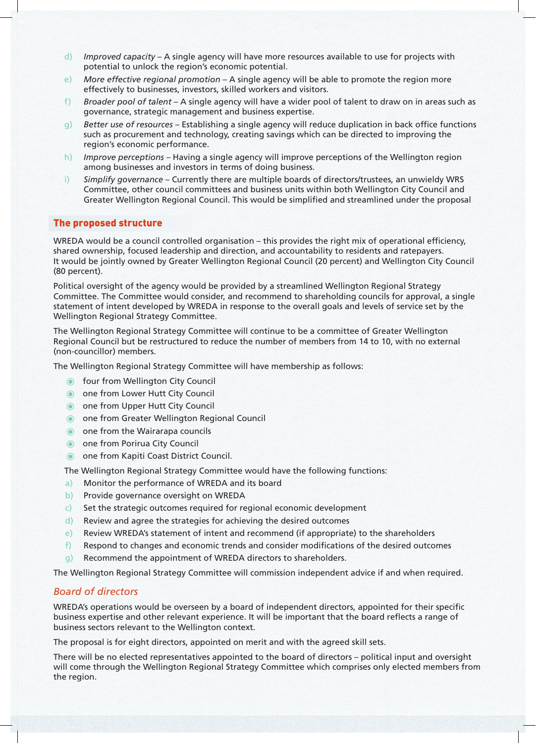- d) *Improved capacity* A single agency will have more resources available to use for projects with potential to unlock the region's economic potential.
- e) *More effective regional promotion* A single agency will be able to promote the region more effectively to businesses, investors, skilled workers and visitors.
- f) *Broader pool of talent*  A single agency will have a wider pool of talent to draw on in areas such as governance, strategic management and business expertise.
- g) *Better use of resources*  Establishing a single agency will reduce duplication in back office functions such as procurement and technology, creating savings which can be directed to improving the region's economic performance.
- h) *Improve perceptions* Having a single agency will improve perceptions of the Wellington region among businesses and investors in terms of doing business.
- i) *Simplify governance* Currently there are multiple boards of directors/trustees, an unwieldy WRS Committee, other council committees and business units within both Wellington City Council and Greater Wellington Regional Council. This would be simplified and streamlined under the proposal

# The proposed structure

WREDA would be a council controlled organisation – this provides the right mix of operational efficiency, shared ownership, focused leadership and direction, and accountability to residents and ratepayers. It would be jointly owned by Greater Wellington Regional Council (20 percent) and Wellington City Council (80 percent).

Political oversight of the agency would be provided by a streamlined Wellington Regional Strategy Committee. The Committee would consider, and recommend to shareholding councils for approval, a single statement of intent developed by WREDA in response to the overall goals and levels of service set by the Wellington Regional Strategy Committee.

The Wellington Regional Strategy Committee will continue to be a committee of Greater Wellington Regional Council but be restructured to reduce the number of members from 14 to 10, with no external (non-councillor) members.

The Wellington Regional Strategy Committee will have membership as follows:

- **The four from Wellington City Council**
- one from Lower Hutt City Council
- one from Upper Hutt City Council
- one from Greater Wellington Regional Council
- one from the Wairarapa councils
- one from Porirua City Council
- **O** one from Kapiti Coast District Council.

The Wellington Regional Strategy Committee would have the following functions:

- a) Monitor the performance of WREDA and its board
- b) Provide governance oversight on WREDA
- c) Set the strategic outcomes required for regional economic development
- d) Review and agree the strategies for achieving the desired outcomes
- e) Review WREDA's statement of intent and recommend (if appropriate) to the shareholders
- f) Respond to changes and economic trends and consider modifications of the desired outcomes
- g) Recommend the appointment of WREDA directors to shareholders.

The Wellington Regional Strategy Committee will commission independent advice if and when required.

# *Board of directors*

WREDA's operations would be overseen by a board of independent directors, appointed for their specific business expertise and other relevant experience. It will be important that the board reflects a range of business sectors relevant to the Wellington context.

The proposal is for eight directors, appointed on merit and with the agreed skill sets.

There will be no elected representatives appointed to the board of directors – political input and oversight will come through the Wellington Regional Strategy Committee which comprises only elected members from the region.